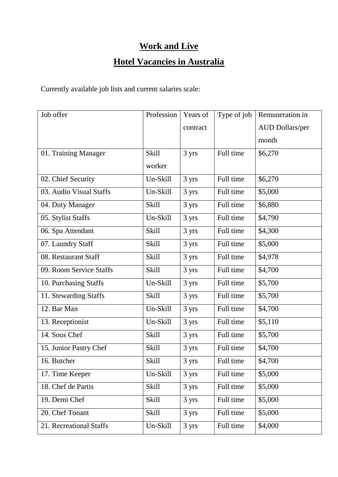## **Work and Live**

## **Hotel Vacancies in Australia**

Currently available job lists and current salaries scale:

| Job offer               | Profession   | Years of | Type of job | Remuneration in        |
|-------------------------|--------------|----------|-------------|------------------------|
|                         |              | contract |             | <b>AUD Dollars/per</b> |
|                         |              |          |             | month                  |
| 01. Training Manager    | <b>Skill</b> | 3 yrs    | Full time   | \$6,270                |
|                         | worker       |          |             |                        |
| 02. Chief Security      | Un-Skill     | 3 yrs    | Full time   | \$6,270                |
| 03. Audio Visual Staffs | Un-Skill     | 3 yrs    | Full time   | \$5,000                |
| 04. Duty Manager        | <b>Skill</b> | 3 yrs    | Full time   | \$6,880                |
| 05. Stylist Staffs      | Un-Skill     | 3 yrs    | Full time   | \$4,790                |
| 06. Spa Attendant       | <b>Skill</b> | 3 yrs    | Full time   | \$4,300                |
| 07. Laundry Staff       | <b>Skill</b> | 3 yrs    | Full time   | \$5,000                |
| 08. Restaurant Staff    | <b>Skill</b> | 3 yrs    | Full time   | \$4,978                |
| 09. Room Service Staffs | <b>Skill</b> | 3 yrs    | Full time   | \$4,700                |
| 10. Purchasing Staffs   | Un-Skill     | 3 yrs    | Full time   | \$5,700                |
| 11. Stewarding Staffs   | <b>Skill</b> | 3 yrs    | Full time   | \$5,700                |
| 12. Bar Man             | Un-Skill     | 3 yrs    | Full time   | \$4,700                |
| 13. Receptionist        | Un-Skill     | 3 yrs    | Full time   | \$5,110                |
| 14. Sous Chef           | <b>Skill</b> | 3 yrs    | Full time   | \$5,700                |
| 15. Junior Pastry Chef  | Skill        | 3 yrs    | Full time   | \$4,700                |
| 16. Butcher             | <b>Skill</b> | 3 yrs    | Full time   | \$4,700                |
| 17. Time Keeper         | Un-Skill     | 3 yrs    | Full time   | \$5,000                |
| 18. Chef de Partis      | <b>Skill</b> | 3 yrs    | Full time   | \$5,000                |
| 19. Demi Chef           | <b>Skill</b> | 3 yrs    | Full time   | \$5,000                |
| 20. Chef Tonant         | <b>Skill</b> | 3 yrs    | Full time   | \$5,000                |
| 21. Recreational Staffs | Un-Skill     | 3 yrs    | Full time   | \$4,000                |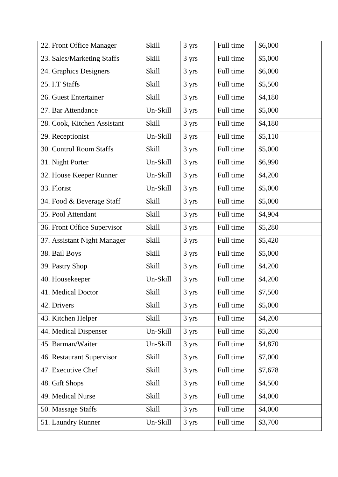| 22. Front Office Manager    | <b>Skill</b> | 3 yrs | Full time | \$6,000 |
|-----------------------------|--------------|-------|-----------|---------|
| 23. Sales/Marketing Staffs  | <b>Skill</b> | 3 yrs | Full time | \$5,000 |
| 24. Graphics Designers      | <b>Skill</b> | 3 yrs | Full time | \$6,000 |
| 25. I.T Staffs              | <b>Skill</b> | 3 yrs | Full time | \$5,500 |
| 26. Guest Entertainer       | <b>Skill</b> | 3 yrs | Full time | \$4,180 |
| 27. Bar Attendance          | Un-Skill     | 3 yrs | Full time | \$5,000 |
| 28. Cook, Kitchen Assistant | <b>Skill</b> | 3 yrs | Full time | \$4,180 |
| 29. Receptionist            | Un-Skill     | 3 yrs | Full time | \$5,110 |
| 30. Control Room Staffs     | <b>Skill</b> | 3 yrs | Full time | \$5,000 |
| 31. Night Porter            | Un-Skill     | 3 yrs | Full time | \$6,990 |
| 32. House Keeper Runner     | Un-Skill     | 3 yrs | Full time | \$4,200 |
| 33. Florist                 | Un-Skill     | 3 yrs | Full time | \$5,000 |
| 34. Food & Beverage Staff   | <b>Skill</b> | 3 yrs | Full time | \$5,000 |
| 35. Pool Attendant          | Skill        | 3 yrs | Full time | \$4,904 |
| 36. Front Office Supervisor | <b>Skill</b> | 3 yrs | Full time | \$5,280 |
| 37. Assistant Night Manager | <b>Skill</b> | 3 yrs | Full time | \$5,420 |
| 38. Bail Boys               | <b>Skill</b> | 3 yrs | Full time | \$5,000 |
| 39. Pastry Shop             | <b>Skill</b> | 3 yrs | Full time | \$4,200 |
| 40. Housekeeper             | Un-Skill     | 3 yrs | Full time | \$4,200 |
| 41. Medical Doctor          | <b>Skill</b> | 3 yrs | Full time | \$7,500 |
| 42. Drivers                 | <b>Skill</b> | 3 yrs | Full time | \$5,000 |
| 43. Kitchen Helper          | <b>Skill</b> | 3 yrs | Full time | \$4,200 |
| 44. Medical Dispenser       | Un-Skill     | 3 yrs | Full time | \$5,200 |
| 45. Barman/Waiter           | Un-Skill     | 3 yrs | Full time | \$4,870 |
| 46. Restaurant Supervisor   | <b>Skill</b> | 3 yrs | Full time | \$7,000 |
| 47. Executive Chef          | <b>Skill</b> | 3 yrs | Full time | \$7,678 |
| 48. Gift Shops              | Skill        | 3 yrs | Full time | \$4,500 |
| 49. Medical Nurse           | <b>Skill</b> | 3 yrs | Full time | \$4,000 |
| 50. Massage Staffs          | <b>Skill</b> | 3 yrs | Full time | \$4,000 |
| 51. Laundry Runner          | Un-Skill     | 3 yrs | Full time | \$3,700 |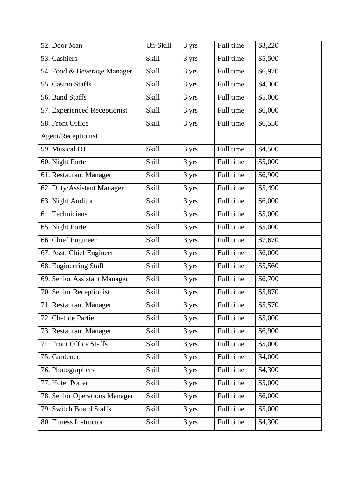| 52. Door Man                  | Un-Skill     | 3 yrs | Full time | \$3,220 |
|-------------------------------|--------------|-------|-----------|---------|
| 53. Cashiers                  | <b>Skill</b> | 3 yrs | Full time | \$5,500 |
| 54. Food & Beverage Manager   | <b>Skill</b> | 3 yrs | Full time | \$6,970 |
| 55. Casino Staffs             | <b>Skill</b> | 3 yrs | Full time | \$4,300 |
| 56. Band Staffs               | <b>Skill</b> | 3 yrs | Full time | \$5,000 |
| 57. Experienced Receptionist  | <b>Skill</b> | 3 yrs | Full time | \$6,000 |
| 58. Front Office              | <b>Skill</b> | 3 yrs | Full time | \$6,550 |
| Agent/Receptionist            |              |       |           |         |
| 59. Musical DJ                | <b>Skill</b> | 3 yrs | Full time | \$4,500 |
| 60. Night Porter              | <b>Skill</b> | 3 yrs | Full time | \$5,000 |
| 61. Restaurant Manager        | Skill        | 3 yrs | Full time | \$6,900 |
| 62. Duty/Assistant Manager    | <b>Skill</b> | 3 yrs | Full time | \$5,490 |
| 63. Night Auditor             | <b>Skill</b> | 3 yrs | Full time | \$6,000 |
| 64. Technicians               | <b>Skill</b> | 3 yrs | Full time | \$5,000 |
| 65. Night Porter              | <b>Skill</b> | 3 yrs | Full time | \$5,000 |
| 66. Chief Engineer            | <b>Skill</b> | 3 yrs | Full time | \$7,670 |
| 67. Asst. Chief Engineer      | <b>Skill</b> | 3 yrs | Full time | \$6,000 |
| 68. Engineering Staff         | <b>Skill</b> | 3 yrs | Full time | \$5,560 |
| 69. Senior Assistant Manager  | <b>Skill</b> | 3 yrs | Full time | \$6,700 |
| 70. Senior Receptionist       | Skill        | 3 yrs | Full time | \$5,870 |
| 71. Restaurant Manager        | <b>Skill</b> | 3 yrs | Full time | \$5,570 |
| 72. Chef de Partie            | <b>Skill</b> | 3 yrs | Full time | \$5,000 |
| 73. Restaurant Manager        | <b>Skill</b> | 3 yrs | Full time | \$6,900 |
| 74. Front Office Staffs       | <b>Skill</b> | 3 yrs | Full time | \$5,000 |
| 75. Gardener                  | <b>Skill</b> | 3 yrs | Full time | \$4,000 |
| 76. Photographers             | Skill        | 3 yrs | Full time | \$4,300 |
| 77. Hotel Porter              | <b>Skill</b> | 3 yrs | Full time | \$5,000 |
| 78. Senior Operations Manager | <b>Skill</b> | 3 yrs | Full time | \$6,000 |
| 79. Switch Board Staffs       | <b>Skill</b> | 3 yrs | Full time | \$5,000 |
| 80. Fitness Instructor        | <b>Skill</b> | 3 yrs | Full time | \$4,300 |